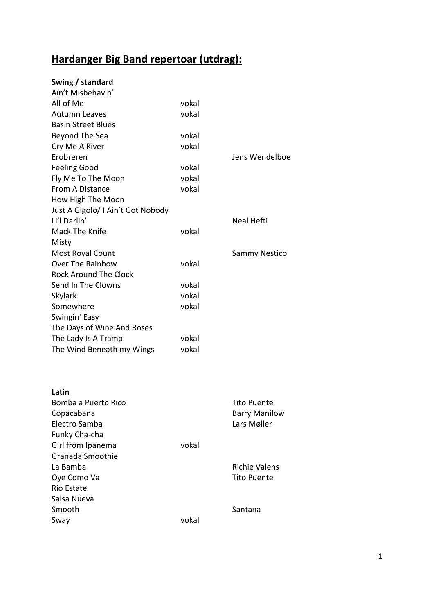## **Hardanger Big Band repertoar (utdrag):**

## **Swing / standard**

| Ain't Misbehavin'                 |       |                      |
|-----------------------------------|-------|----------------------|
| All of Me                         | vokal |                      |
| <b>Autumn Leaves</b>              | vokal |                      |
| <b>Basin Street Blues</b>         |       |                      |
| Beyond The Sea                    | vokal |                      |
| Cry Me A River                    | vokal |                      |
| Erobreren                         |       | Jens Wendelboe       |
| <b>Feeling Good</b>               | vokal |                      |
| Fly Me To The Moon                | vokal |                      |
| <b>From A Distance</b>            | vokal |                      |
| How High The Moon                 |       |                      |
| Just A Gigolo/ I Ain't Got Nobody |       |                      |
| Li'l Darlin'                      |       | Neal Hefti           |
| Mack The Knife                    | vokal |                      |
| Misty                             |       |                      |
| Most Royal Count                  |       | <b>Sammy Nestico</b> |
| Over The Rainbow                  | vokal |                      |
| <b>Rock Around The Clock</b>      |       |                      |
| Send In The Clowns                | vokal |                      |
| <b>Skylark</b>                    | vokal |                      |
| Somewhere                         | vokal |                      |
| Swingin' Easy                     |       |                      |
| The Days of Wine And Roses        |       |                      |
| The Lady Is A Tramp               | vokal |                      |
| The Wind Beneath my Wings         | vokal |                      |

| Latin               |       |                      |
|---------------------|-------|----------------------|
| Bomba a Puerto Rico |       | <b>Tito Puente</b>   |
| Copacabana          |       | <b>Barry Manilow</b> |
| Electro Samba       |       | Lars Møller          |
| Funky Cha-cha       |       |                      |
| Girl from Ipanema   | vokal |                      |
| Granada Smoothie    |       |                      |
| La Bamba            |       | <b>Richie Valens</b> |
| Oye Como Va         |       | <b>Tito Puente</b>   |
| Rio Estate          |       |                      |
| Salsa Nueva         |       |                      |
| Smooth              |       | Santana              |
| Sway                | vokal |                      |
|                     |       |                      |